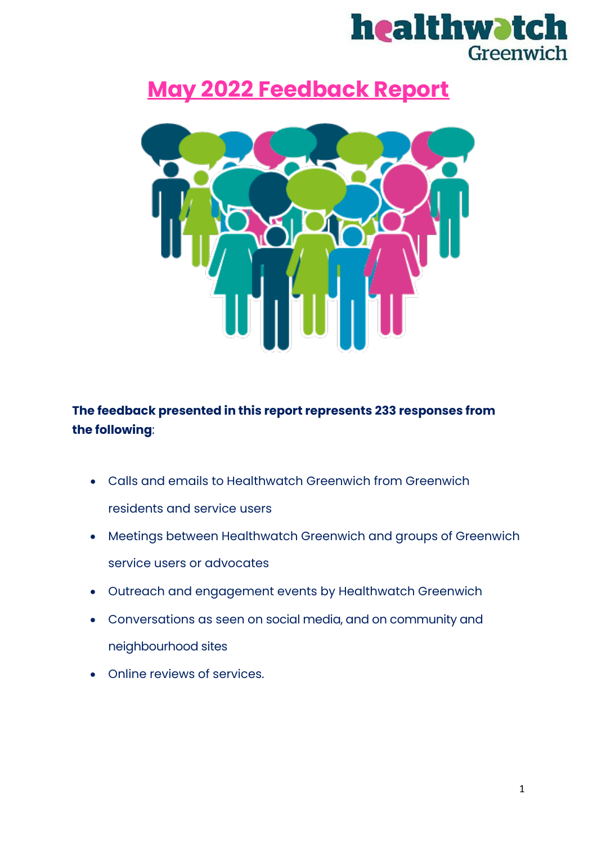

## **May 2022 Feedback Report**



## **The feedback presented in this report represents 233 responses from**  the following:

- Calls and emails to Healthwatch Greenwich from Greenwich residents and service users
- Meetings between Healthwatch Greenwich and groups of Greenwich service users or advocates
- Outreach and engagement events by Healthwatch Greenwich
- Conversations as seen on social media, and on community and neighbourhood sites
- Online reviews of services.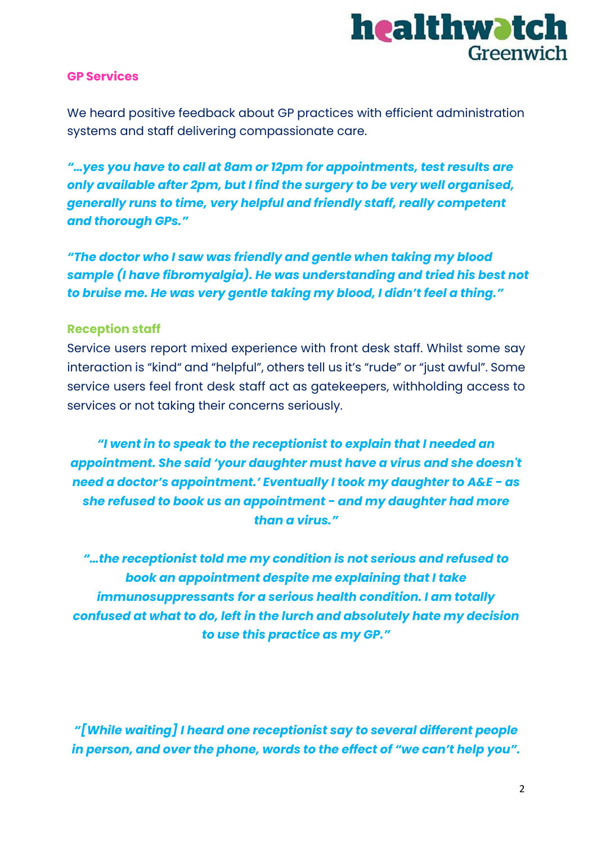

#### **GP Services**

We heard positive feedback about GP practices with efficient administration systems and staff delivering compassionate care.

*"…yes you have to call at 8am or 12pm for appointments, test results are only available after 2pm, but I find the surgery to be very well organised, generally runs to time, very helpful and friendly staff, really competent and thorough GPs."*

*"The doctor who I saw was friendly and gentle when taking my blood sample (I have fibromyalgia). He was understanding and tried his best not to bruise me. He was very gentle taking my blood, I didn't feel a thing."*

#### **Reception staff**

Service users report mixed experience with front desk staff. Whilst some say interaction is "kind" and "helpful", others tell us it's "rude" or "just awful". Some service users feel front desk staff act as gatekeepers, withholding access to services or not taking their concerns seriously.

*"I went in to speak to the receptionist to explain that I needed an appointment. She said 'your daughter must have a virus and she doesn't need a doctor's appointment.' Eventually I took my daughter to A&E - as she refused to book us an appointment - and my daughter had more than a virus."*

*"…the receptionist told me my condition is not serious and refused to book an appointment despite me explaining that I take immunosuppressants for a serious health condition. I am totally confused at what to do, left in the lurch and absolutely hate my decision to use this practice as my GP."*

*"[While waiting] I heard one receptionist say to several different people in person, and over the phone, words to the effect of "we can't help you".*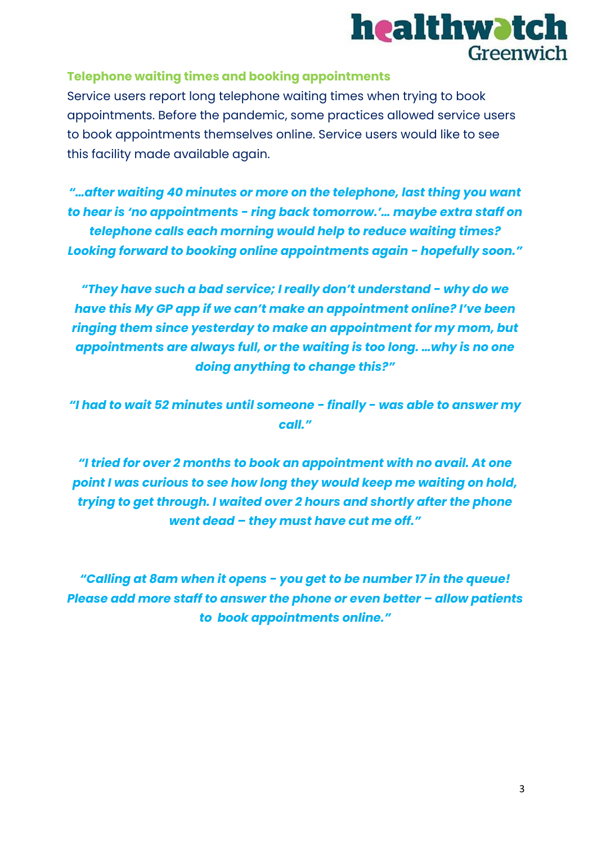

#### **Telephone waiting times and booking appointments**

Service users report long telephone waiting times when trying to book appointments. Before the pandemic, some practices allowed service users to book appointments themselves online. Service users would like to see this facility made available again.

*"…after waiting 40 minutes or more on the telephone, last thing you want to hear is 'no appointments - ring back tomorrow.'… maybe extra staff on telephone calls each morning would help to reduce waiting times? Looking forward to booking online appointments again - hopefully soon."*

*"They have such a bad service; I really don't understand - why do we have this My GP app if we can't make an appointment online? I've been ringing them since yesterday to make an appointment for my mom, but appointments are always full, or the waiting is too long. …why is no one doing anything to change this?"*

*"I had to wait 52 minutes until someone - finally - was able to answer my call."*

*"I tried for over 2 months to book an appointment with no avail. At one point I was curious to see how long they would keep me waiting on hold, trying to get through. I waited over 2 hours and shortly after the phone went dead – they must have cut me off."*

*"Calling at 8am when it opens - you get to be number 17 in the queue! Please add more staff to answer the phone or even better – allow patients to book appointments online."*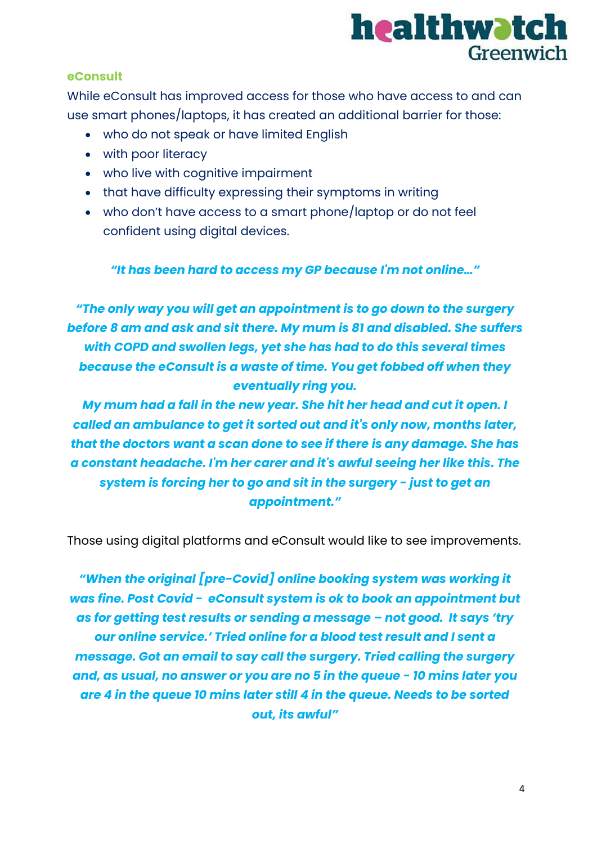

#### **eConsult**

While eConsult has improved access for those who have access to and can use smart phones/laptops, it has created an additional barrier for those:

- who do not speak or have limited English
- with poor literacy
- who live with cognitive impairment
- that have difficulty expressing their symptoms in writing
- who don't have access to a smart phone/laptop or do not feel confident using digital devices.

*"It has been hard to access my GP because I'm not online…"*

*"The only way you will get an appointment is to go down to the surgery before 8 am and ask and sit there. My mum is 81 and disabled. She suffers with COPD and swollen legs, yet she has had to do this several times because the eConsult is a waste of time. You get fobbed off when they eventually ring you.* 

*My mum had a fall in the new year. She hit her head and cut it open. I called an ambulance to get it sorted out and it's only now, months later, that the doctors want a scan done to see if there is any damage. She has a constant headache. I'm her carer and it's awful seeing her like this. The system is forcing her to go and sit in the surgery - just to get an appointment."*

Those using digital platforms and eConsult would like to see improvements.

*"When the original [pre-Covid] online booking system was working it was fine. Post Covid - eConsult system is ok to book an appointment but as for getting test results or sending a message – not good. It says 'try our online service.' Tried online for a blood test result and I sent a message. Got an email to say call the surgery. Tried calling the surgery and, as usual, no answer or you are no 5 in the queue - 10 mins later you are 4 in the queue 10 mins later still 4 in the queue. Needs to be sorted out, its awful"*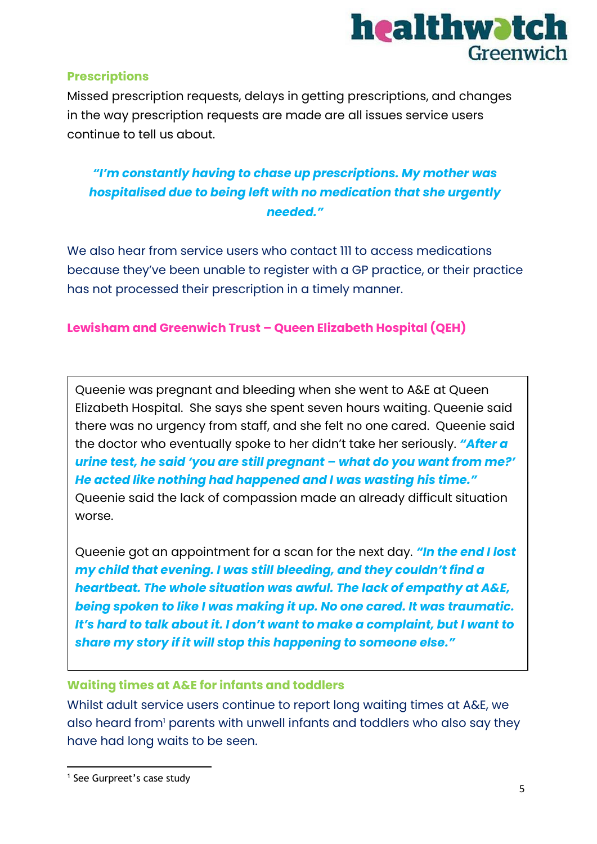

#### **Prescriptions**

Missed prescription requests, delays in getting prescriptions, and changes in the way prescription requests are made are all issues service users continue to tell us about.

## *"I'm constantly having to chase up prescriptions. My mother was hospitalised due to being left with no medication that she urgently needed."*

We also hear from service users who contact 111 to access medications because they've been unable to register with a GP practice, or their practice has not processed their prescription in a timely manner.

#### **Lewisham and Greenwich Trust – Queen Elizabeth Hospital (QEH)**

Queenie was pregnant and bleeding when she went to A&E at Queen Elizabeth Hospital. She says she spent seven hours waiting. Queenie said there was no urgency from staff, and she felt no one cared. Queenie said the doctor who eventually spoke to her didn't take her seriously. *"After a urine test, he said 'you are still pregnant – what do you want from me?' He acted like nothing had happened and I was wasting his time."*  Queenie said the lack of compassion made an already difficult situation worse.

Queenie got an appointment for a scan for the next day. *"In the end I lost my child that evening. I was still bleeding, and they couldn't find a heartbeat. The whole situation was awful. The lack of empathy at A&E, being spoken to like I was making it up. No one cared. It was traumatic. It's hard to talk about it. I don't want to make a complaint, but I want to share my story if it will stop this happening to someone else."*

#### **Waiting times at A&E for infants and toddlers**

Whilst adult service users continue to report long waiting times at A&E, we also heard from<sup>1</sup> parents with unwell infants and toddlers who also say they have had long waits to be seen.

<sup>&</sup>lt;sup>1</sup> See Gurpreet's case study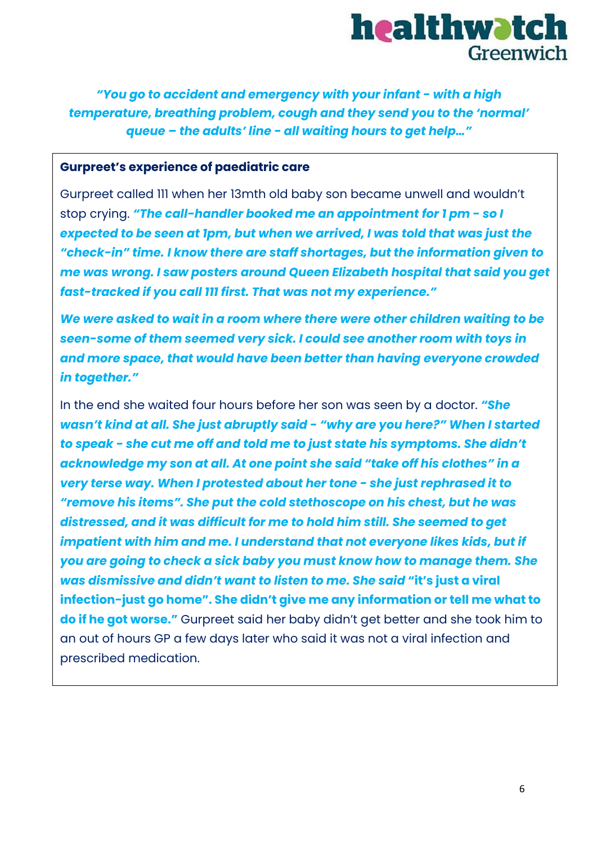# healthwatch Greenwich

*"You go to accident and emergency with your infant - with a high temperature, breathing problem, cough and they send you to the 'normal' queue – the adults' line - all waiting hours to get help…"*

#### **Gurpreet's experience of paediatric care**

Gurpreet called 111 when her 13mth old baby son became unwell and wouldn't stop crying. *"The call-handler booked me an appointment for 1 pm - so I expected to be seen at 1pm, but when we arrived, I was told that was just the "check-in" time. I know there are staff shortages, but the information given to me was wrong. I saw posters around Queen Elizabeth hospital that said you get fast-tracked if you call 111 first. That was not my experience."*

*We were asked to wait in a room where there were other children waiting to be seen-some of them seemed very sick. I could see another room with toys in and more space, that would have been better than having everyone crowded in together."*

In the end she waited four hours before her son was seen by a doctor. *"She wasn't kind at all. She just abruptly said - "why are you here?" When I started to speak - she cut me off and told me to just state his symptoms. She didn't acknowledge my son at all. At one point she said "take off his clothes" in a very terse way. When I protested about her tone - she just rephrased it to "remove his items". She put the cold stethoscope on his chest, but he was distressed, and it was difficult for me to hold him still. She seemed to get impatient with him and me. I understand that not everyone likes kids, but if you are going to check a sick baby you must know how to manage them. She was dismissive and didn't want to listen to me. She said* **"it's just a viral infection-just go home". She didn't give me any information or tell me what to do if he got worse."** Gurpreet said her baby didn't get better and she took him to an out of hours GP a few days later who said it was not a viral infection and prescribed medication.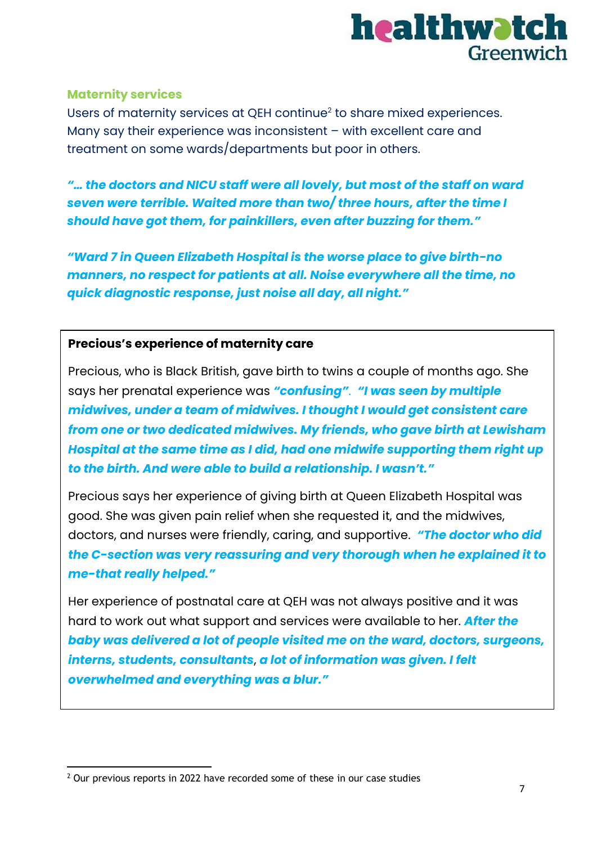

#### **Maternity services**

Users of maternity services at QEH continue<sup>2</sup> to share mixed experiences. Many say their experience was inconsistent – with excellent care and treatment on some wards/departments but poor in others.

*"… the doctors and NICU staff were all lovely, but most of the staff on ward seven were terrible. Waited more than two/ three hours, after the time I should have got them, for painkillers, even after buzzing for them."*

*"Ward 7 in Queen Elizabeth Hospital is the worse place to give birth-no manners, no respect for patients at all. Noise everywhere all the time, no quick diagnostic response, just noise all day, all night."*

#### **Precious's experience of maternity care**

Precious, who is Black British, gave birth to twins a couple of months ago. She says her prenatal experience was *"confusing"*. *"I was seen by multiple midwives, under a team of midwives. I thought I would get consistent care from one or two dedicated midwives. My friends, who gave birth at Lewisham Hospital at the same time as I did, had one midwife supporting them right up to the birth. And were able to build a relationship. I wasn't."*

Precious says her experience of giving birth at Queen Elizabeth Hospital was good. She was given pain relief when she requested it, and the midwives, doctors, and nurses were friendly, caring, and supportive. *"The doctor who did the C-section was very reassuring and very thorough when he explained it to me-that really helped."*

Her experience of postnatal care at QEH was not always positive and it was hard to work out what support and services were available to her. *After the baby was delivered a lot of people visited me on the ward, doctors, surgeons, interns, students, consultants*, *a lot of information was given. I felt overwhelmed and everything was a blur."*

<sup>&</sup>lt;sup>2</sup> Our previous reports in 2022 have recorded some of these in our case studies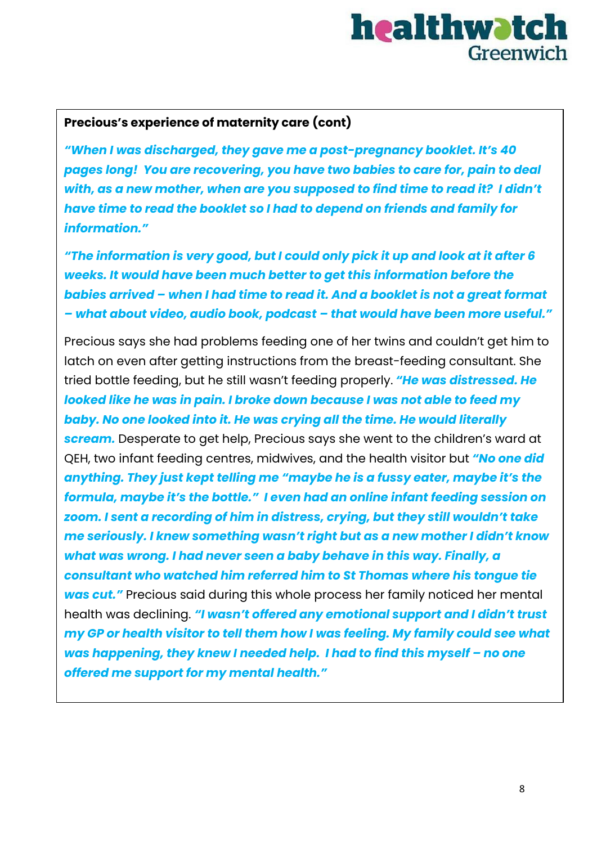# healthwatch Greenwich

### **Precious's experience of maternity care (cont)**

*"When I was discharged, they gave me a post-pregnancy booklet. It's 40 pages long! You are recovering, you have two babies to care for, pain to deal with, as a new mother, when are you supposed to find time to read it? I didn't have time to read the booklet so I had to depend on friends and family for information."*

*"The information is very good, but I could only pick it up and look at it after 6 weeks. It would have been much better to get this information before the babies arrived – when I had time to read it. And a booklet is not a great format – what about video, audio book, podcast – that would have been more useful."*

Precious says she had problems feeding one of her twins and couldn't get him to latch on even after getting instructions from the breast-feeding consultant. She tried bottle feeding, but he still wasn't feeding properly. *"He was distressed. He looked like he was in pain. I broke down because I was not able to feed my baby. No one looked into it. He was crying all the time. He would literally scream.* Desperate to get help, Precious says she went to the children's ward at QEH, two infant feeding centres, midwives, and the health visitor but *"No one did anything. They just kept telling me "maybe he is a fussy eater, maybe it's the formula, maybe it's the bottle." I even had an online infant feeding session on zoom. I sent a recording of him in distress, crying, but they still wouldn't take me seriously. I knew something wasn't right but as a new mother I didn't know what was wrong. I had never seen a baby behave in this way. Finally, a consultant who watched him referred him to St Thomas where his tongue tie was cut."* Precious said during this whole process her family noticed her mental health was declining. *"I wasn't offered any emotional support and I didn't trust my GP or health visitor to tell them how I was feeling. My family could see what was happening, they knew I needed help. I had to find this myself – no one offered me support for my mental health."*